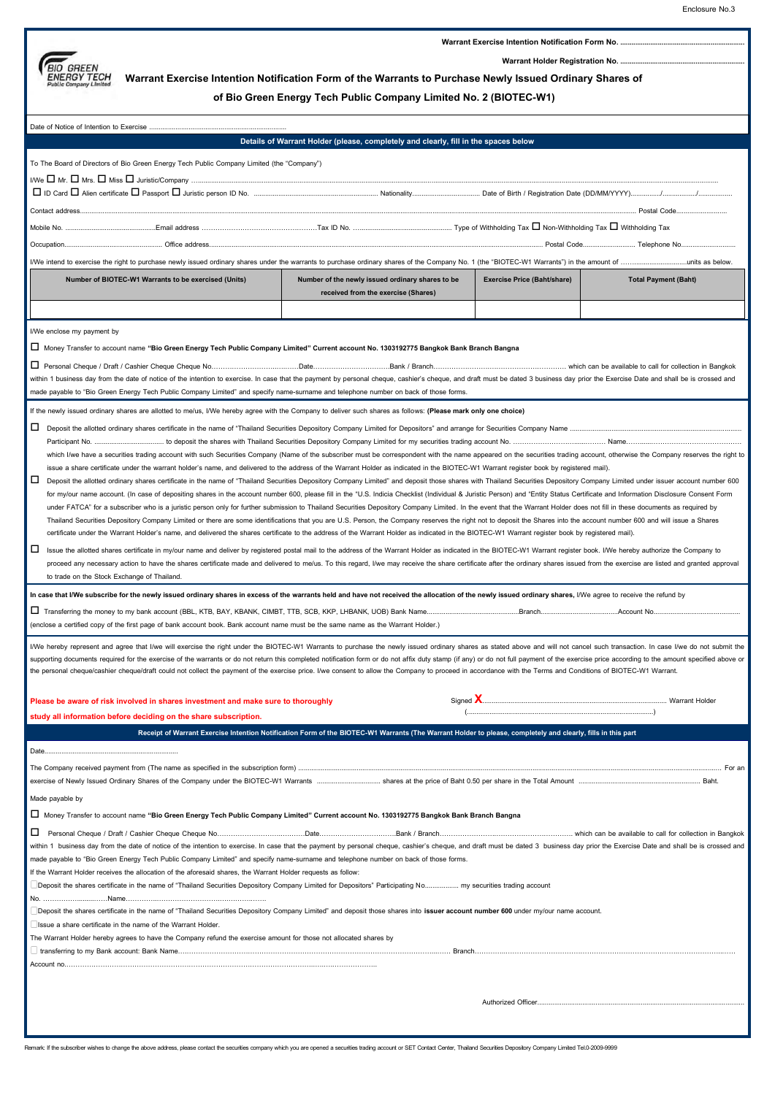

**Warrant Exercise Intention Notification Form No. ..** 

**Warrant Holder Registration No. ..................................................................** 

## **Warrant Exercise Intention Notification Form of the Warrants to Purchase Newly Issued Ordinary Shares of**

**of Bio Green Energy Tech Public Company Limited No. 2(BIOTEC-W1)**

|                                                                                                                                                                                                                                                                                                                                                                                                                                                                  | Details of Warrant Holder (please, completely and clearly, fill in the spaces below                                                                         |                                    |                             |  |  |
|------------------------------------------------------------------------------------------------------------------------------------------------------------------------------------------------------------------------------------------------------------------------------------------------------------------------------------------------------------------------------------------------------------------------------------------------------------------|-------------------------------------------------------------------------------------------------------------------------------------------------------------|------------------------------------|-----------------------------|--|--|
| To The Board of Directors of Bio Green Energy Tech Public Company Limited (the "Company")                                                                                                                                                                                                                                                                                                                                                                        |                                                                                                                                                             |                                    |                             |  |  |
|                                                                                                                                                                                                                                                                                                                                                                                                                                                                  |                                                                                                                                                             |                                    |                             |  |  |
|                                                                                                                                                                                                                                                                                                                                                                                                                                                                  |                                                                                                                                                             |                                    |                             |  |  |
|                                                                                                                                                                                                                                                                                                                                                                                                                                                                  |                                                                                                                                                             |                                    |                             |  |  |
|                                                                                                                                                                                                                                                                                                                                                                                                                                                                  |                                                                                                                                                             |                                    |                             |  |  |
|                                                                                                                                                                                                                                                                                                                                                                                                                                                                  |                                                                                                                                                             |                                    |                             |  |  |
|                                                                                                                                                                                                                                                                                                                                                                                                                                                                  |                                                                                                                                                             |                                    |                             |  |  |
| Number of BIOTEC-W1 Warrants to be exercised (Units)                                                                                                                                                                                                                                                                                                                                                                                                             | Number of the newly issued ordinary shares to be                                                                                                            | <b>Exercise Price (Baht/share)</b> | <b>Total Payment (Baht)</b> |  |  |
|                                                                                                                                                                                                                                                                                                                                                                                                                                                                  | received from the exercise (Shares)                                                                                                                         |                                    |                             |  |  |
|                                                                                                                                                                                                                                                                                                                                                                                                                                                                  |                                                                                                                                                             |                                    |                             |  |  |
|                                                                                                                                                                                                                                                                                                                                                                                                                                                                  |                                                                                                                                                             |                                    |                             |  |  |
| I/We enclose my payment by                                                                                                                                                                                                                                                                                                                                                                                                                                       |                                                                                                                                                             |                                    |                             |  |  |
| ∐ Money Transfer to account name "Bio Green Energy Tech Public Company Limited" Current account No. 1303192775 Bangkok Bank Branch Bangna                                                                                                                                                                                                                                                                                                                        |                                                                                                                                                             |                                    |                             |  |  |
|                                                                                                                                                                                                                                                                                                                                                                                                                                                                  |                                                                                                                                                             |                                    |                             |  |  |
| within 1 business day from the date of notice of the intention to exercise. In case that the payment by personal cheque, cashier's cheque, and draft must be dated 3 business day prior the Exercise Date and shall be is cros                                                                                                                                                                                                                                   |                                                                                                                                                             |                                    |                             |  |  |
| made payable to "Bio Green Energy Tech Public Company Limited" and specify name-surname and telephone number on back of those forms.                                                                                                                                                                                                                                                                                                                             |                                                                                                                                                             |                                    |                             |  |  |
| If the newly issued ordinary shares are allotted to me/us, I/We hereby agree with the Company to deliver such shares as follows: (Please mark only one choice)                                                                                                                                                                                                                                                                                                   |                                                                                                                                                             |                                    |                             |  |  |
|                                                                                                                                                                                                                                                                                                                                                                                                                                                                  |                                                                                                                                                             |                                    |                             |  |  |
| which I/we have a securities trading account with such Securities Company (Name of the subscriber must be correspondent with the name appeared on the securities trading account, otherwise the Company reserves the right to                                                                                                                                                                                                                                    |                                                                                                                                                             |                                    |                             |  |  |
| issue a share certificate under the warrant holder's name, and delivered to the address of the Warrant Holder as indicated in the BIOTEC-W1 Warrant register book by registered mail).                                                                                                                                                                                                                                                                           |                                                                                                                                                             |                                    |                             |  |  |
| □<br>Deposit the allotted ordinary shares certificate in the name of "Thailand Securities Depository Company Limited" and deposit those shares with Thailand Securities Depository Company Limited under issuer account number 600                                                                                                                                                                                                                               |                                                                                                                                                             |                                    |                             |  |  |
| for my/our name account. (In case of depositing shares in the account number 600, please fill in the "U.S. Indicia Checklist (Individual & Juristic Person) and "Entity Status Certificate and Information Disclosure Consent                                                                                                                                                                                                                                    |                                                                                                                                                             |                                    |                             |  |  |
| under FATCA" for a subscriber who is a juristic person only for further submission to Thailand Securities Depository Company Limited. In the event that the Warrant Holder does not fill in these documents as required by                                                                                                                                                                                                                                       |                                                                                                                                                             |                                    |                             |  |  |
| Thailand Securities Depository Company Limited or there are some identifications that you are U.S. Person, the Company reserves the right not to deposit the Shares into the account number 600 and will issue a Shares                                                                                                                                                                                                                                          |                                                                                                                                                             |                                    |                             |  |  |
| certificate under the Warrant Holder's name, and delivered the shares certificate to the address of the Warrant Holder as indicated in the BIOTEC-W1 Warrant register book by registered mail).                                                                                                                                                                                                                                                                  |                                                                                                                                                             |                                    |                             |  |  |
| □<br>Issue the allotted shares certificate in my/our name and deliver by registered postal mail to the address of the Warrant Holder as indicated in the BIOTEC-W1 Warrant register book. I/We hereby authorize the Company to<br>proceed any necessary action to have the shares certificate made and delivered to me/us. To this regard, I/we may receive the share certificate after the ordinary shares issued from the exercise are listed and granted appr |                                                                                                                                                             |                                    |                             |  |  |
| to trade on the Stock Exchange of Thailand.                                                                                                                                                                                                                                                                                                                                                                                                                      |                                                                                                                                                             |                                    |                             |  |  |
| In case that I/We subscribe for the newly issued ordinary shares in excess of the warrants held and have not received the allocation of the newly issued ordinary shares, I/We agree to receive the refund by                                                                                                                                                                                                                                                    |                                                                                                                                                             |                                    |                             |  |  |
|                                                                                                                                                                                                                                                                                                                                                                                                                                                                  |                                                                                                                                                             |                                    |                             |  |  |
| (enclose a certified copy of the first page of bank account book. Bank account name must be the same name as the Warrant Holder.)                                                                                                                                                                                                                                                                                                                                |                                                                                                                                                             |                                    |                             |  |  |
|                                                                                                                                                                                                                                                                                                                                                                                                                                                                  |                                                                                                                                                             |                                    |                             |  |  |
| I/We hereby represent and agree that I/we will exercise the right under the BIOTEC-W1 Warrants to purchase the newly issued ordinary shares as stated above and will not cancel such transaction. In case I/we do not submit t<br>supporting documents required for the exercise of the warrants or do not return this completed notification form or do not affix duty stamp (if any) or do not full payment of the exercise price according to the amount spec |                                                                                                                                                             |                                    |                             |  |  |
| the personal cheque/cashier cheque/draft could not collect the payment of the exercise price. I/we consent to allow the Company to proceed in accordance with the Terms and Conditions of BIOTEC-W1 Warrant.                                                                                                                                                                                                                                                     |                                                                                                                                                             |                                    |                             |  |  |
|                                                                                                                                                                                                                                                                                                                                                                                                                                                                  |                                                                                                                                                             |                                    |                             |  |  |
| Please be aware of risk involved in shares investment and make sure to thoroughly                                                                                                                                                                                                                                                                                                                                                                                |                                                                                                                                                             |                                    |                             |  |  |
| study all information before deciding on the share subscription.                                                                                                                                                                                                                                                                                                                                                                                                 |                                                                                                                                                             |                                    |                             |  |  |
|                                                                                                                                                                                                                                                                                                                                                                                                                                                                  | Receipt of Warrant Exercise Intention Notification Form of the BIOTEC-W1 Warrants (The Warrant Holder to please, completely and clearly, fills in this part |                                    |                             |  |  |
|                                                                                                                                                                                                                                                                                                                                                                                                                                                                  |                                                                                                                                                             |                                    |                             |  |  |
|                                                                                                                                                                                                                                                                                                                                                                                                                                                                  |                                                                                                                                                             |                                    | For an                      |  |  |
|                                                                                                                                                                                                                                                                                                                                                                                                                                                                  |                                                                                                                                                             |                                    |                             |  |  |
| Made payable by                                                                                                                                                                                                                                                                                                                                                                                                                                                  |                                                                                                                                                             |                                    |                             |  |  |
| □ Money Transfer to account name "Bio Green Energy Tech Public Company Limited" Current account No. 1303192775 Bangkok Bank Branch Bangna                                                                                                                                                                                                                                                                                                                        |                                                                                                                                                             |                                    |                             |  |  |
|                                                                                                                                                                                                                                                                                                                                                                                                                                                                  |                                                                                                                                                             |                                    |                             |  |  |
| within 1 business day from the date of notice of the intention to exercise. In case that the payment by personal cheque, cashier's cheque, and draft must be dated 3 business day prior the Exercise Date and shall be is cros                                                                                                                                                                                                                                   |                                                                                                                                                             |                                    |                             |  |  |
| made payable to "Bio Green Energy Tech Public Company Limited" and specify name-surname and telephone number on back of those forms.                                                                                                                                                                                                                                                                                                                             |                                                                                                                                                             |                                    |                             |  |  |
| If the Warrant Holder receives the allocation of the aforesaid shares, the Warrant Holder requests as follow:                                                                                                                                                                                                                                                                                                                                                    |                                                                                                                                                             |                                    |                             |  |  |
| Deposit the shares certificate in the name of "Thailand Securities Depository Company Limited for Depositors" Participating No my securities trading account                                                                                                                                                                                                                                                                                                     |                                                                                                                                                             |                                    |                             |  |  |
|                                                                                                                                                                                                                                                                                                                                                                                                                                                                  |                                                                                                                                                             |                                    |                             |  |  |
| Deposit the shares certificate in the name of "Thailand Securities Depository Company Limited" and deposit those shares into issuer account number 600 under my/our name account.<br>Issue a share certificate in the name of the Warrant Holder.                                                                                                                                                                                                                |                                                                                                                                                             |                                    |                             |  |  |
| The Warrant Holder hereby agrees to have the Company refund the exercise amount for those not allocated shares by                                                                                                                                                                                                                                                                                                                                                |                                                                                                                                                             |                                    |                             |  |  |
|                                                                                                                                                                                                                                                                                                                                                                                                                                                                  |                                                                                                                                                             |                                    |                             |  |  |
|                                                                                                                                                                                                                                                                                                                                                                                                                                                                  |                                                                                                                                                             |                                    |                             |  |  |
|                                                                                                                                                                                                                                                                                                                                                                                                                                                                  |                                                                                                                                                             |                                    |                             |  |  |
|                                                                                                                                                                                                                                                                                                                                                                                                                                                                  |                                                                                                                                                             |                                    |                             |  |  |
|                                                                                                                                                                                                                                                                                                                                                                                                                                                                  |                                                                                                                                                             |                                    |                             |  |  |
|                                                                                                                                                                                                                                                                                                                                                                                                                                                                  |                                                                                                                                                             |                                    |                             |  |  |